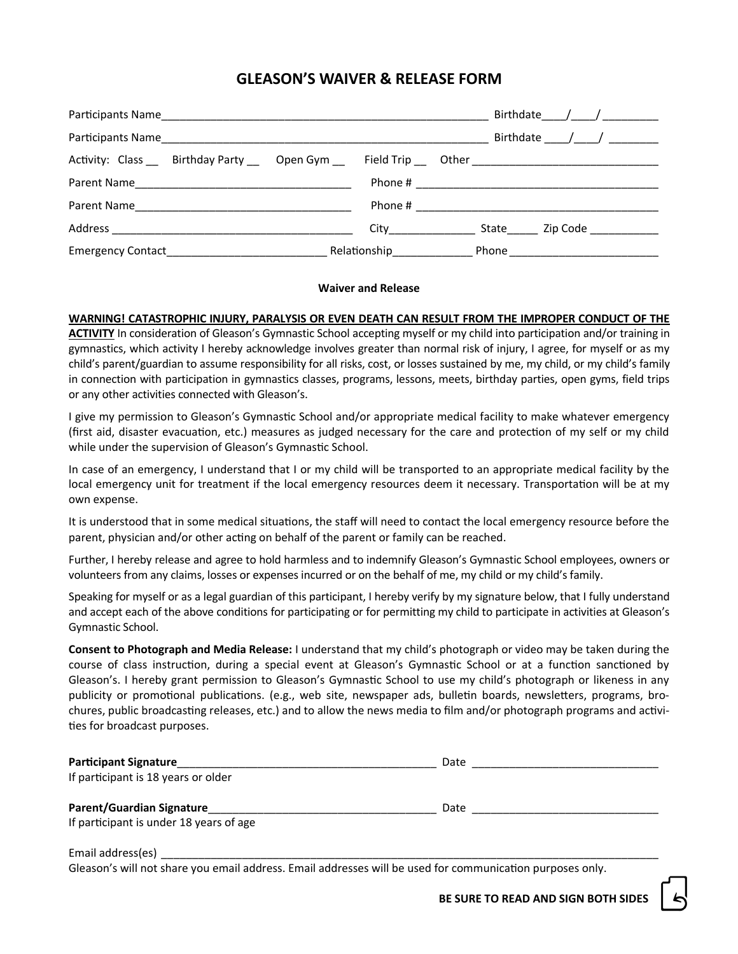# **GLEASON'S WAIVER & RELEASE FORM**

|                                                                                                                |                                                                                                                                                                                                    |                           | Birthdate $/$ / $/$ |
|----------------------------------------------------------------------------------------------------------------|----------------------------------------------------------------------------------------------------------------------------------------------------------------------------------------------------|---------------------------|---------------------|
|                                                                                                                |                                                                                                                                                                                                    |                           | Birthdate $/$ / $/$ |
| Activity: Class ____ Birthday Party _____ Open Gym _____ Field Trip ____ Other _______________________________ |                                                                                                                                                                                                    |                           |                     |
|                                                                                                                |                                                                                                                                                                                                    |                           |                     |
|                                                                                                                |                                                                                                                                                                                                    |                           |                     |
|                                                                                                                | City__________________                                                                                                                                                                             |                           | State Zip Code      |
|                                                                                                                | Relationship Electionship Relationship Relationship Relationship Relationship Relationship Relationship Relationship Relationship Relationship Relationship Relationship Relationship Relationship | Phone ___________________ |                     |

### **Waiver and Release**

## **WARNING! CATASTROPHIC INJURY, PARALYSIS OR EVEN DEATH CAN RESULT FROM THE IMPROPER CONDUCT OF THE**

**ACTIVITY** In consideration of Gleason's Gymnastic School accepting myself or my child into participation and/or training in gymnastics, which activity I hereby acknowledge involves greater than normal risk of injury, I agree, for myself or as my child's parent/guardian to assume responsibility for all risks, cost, or losses sustained by me, my child, or my child's family in connection with participation in gymnastics classes, programs, lessons, meets, birthday parties, open gyms, field trips or any other activities connected with Gleason's.

I give my permission to Gleason's Gymnastic School and/or appropriate medical facility to make whatever emergency (first aid, disaster evacuation, etc.) measures as judged necessary for the care and protection of my self or my child while under the supervision of Gleason's Gymnastic School.

In case of an emergency, I understand that I or my child will be transported to an appropriate medical facility by the local emergency unit for treatment if the local emergency resources deem it necessary. Transportation will be at my own expense.

It is understood that in some medical situations, the staff will need to contact the local emergency resource before the parent, physician and/or other acting on behalf of the parent or family can be reached.

Further, I hereby release and agree to hold harmless and to indemnify Gleason's Gymnastic School employees, owners or volunteers from any claims, losses or expenses incurred or on the behalf of me, my child or my child's family.

Speaking for myself or as a legal guardian of this participant, I hereby verify by my signature below, that I fully understand and accept each of the above conditions for participating or for permitting my child to participate in activities at Gleason's Gymnastic School.

**Consent to Photograph and Media Release:** I understand that my child's photograph or video may be taken during the course of class instruction, during a special event at Gleason's Gymnastic School or at a function sanctioned by Gleason's. I hereby grant permission to Gleason's Gymnastic School to use my child's photograph or likeness in any publicity or promotional publications. (e.g., web site, newspaper ads, bulletin boards, newsletters, programs, brochures, public broadcasting releases, etc.) and to allow the news media to film and/or photograph programs and activities for broadcast purposes.

| <b>Participant Signature</b>                                                                             | Date |
|----------------------------------------------------------------------------------------------------------|------|
| If participant is 18 years or older                                                                      |      |
| <b>Parent/Guardian Signature</b>                                                                         | Date |
| If participant is under 18 years of age                                                                  |      |
| Email address(es)                                                                                        |      |
| Gleason's will not share you email address. Email addresses will be used for communication nurnoses only |      |

Gleason's will not share you email address. Email addresses will be used for communication purposes only.